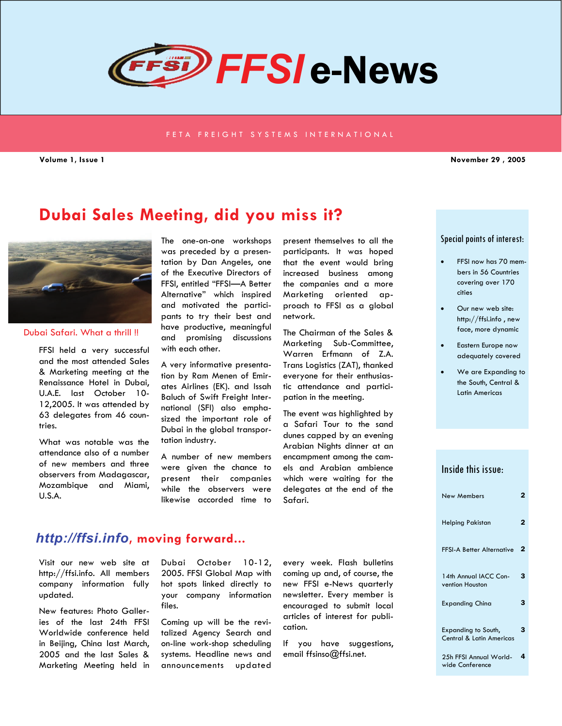

#### FETA FREIGHT SYSTEMS INTERNATIONAL

**Volume 1, Issue 1 November 29 , 2005** 

# **Dubai Sales Meeting, did you miss it?**



#### Dubai Safari. What a thrill !!

FFSI held a very successful and the most attended Sales & Marketing meeting at the Renaissance Hotel in Dubai, U.A.E. last October 10- 12,2005. It was attended by 63 delegates from 46 countries.

What was notable was the attendance also of a number of new members and three observers from Madagascar, Mozambique and Miami, U.S.A.

The one-on-one workshops was preceded by a presentation by Dan Angeles, one of the Executive Directors of FFSI, entitled "FFSI—A Better Alternative" which inspired and motivated the participants to try their best and have productive, meaningful and promising discussions with each other.

A very informative presentation by Ram Menen of Emirates Airlines (EK). and Issah Baluch of Swift Freight International (SFI) also emphasized the important role of Dubai in the global transportation industry.

A number of new members were given the chance to present their companies while the observers were likewise accorded time to

present themselves to all the participants. It was hoped that the event would bring increased business among the companies and a more Marketing oriented approach to FFSI as a global network.

The Chairman of the Sales & Marketing Sub-Committee, Warren Erfmann of Z.A. Trans Logistics (ZAT), thanked everyone for their enthusiastic attendance and participation in the meeting.

The event was highlighted by a Safari Tour to the sand dunes capped by an evening Arabian Nights dinner at an encampment among the camels and Arabian ambience which were waiting for the delegates at the end of the Safari.

#### Special points of interest:

- FFSI now has 70 members in 56 Countries covering over 170 cities
- Our new web site: http://ffsi.info , new face, more dynamic
- Eastern Europe now adequately covered
- We are Expanding to the South, Central & Latin Americas

### Inside this issue:

| <b>New Members</b>                              | $\mathbf{2}$ |
|-------------------------------------------------|--------------|
| Helping Pakistan                                | 2            |
| <b>FFSI-A Better Alternative</b>                | 2            |
| 14th Annual IACC Con-<br>vention Houston        | 3            |
| Expanding China                                 | 3            |
| Expanding to South,<br>Central & Latin Americas | 3            |
| 25h FFSI Annual World-                          | 4            |

wide Conference

## *http://ffsi.info***, moving forward...**

Visit our new web site at http://ffsi.info. All members company information fully updated.

New features: Photo Galleries of the last 24th FFSI Worldwide conference held in Beijing, China last March, 2005 and the last Sales & Marketing Meeting held in

Dubai October 10-12, 2005. FFSI Global Map with hot spots linked directly to your company information files.

Coming up will be the revitalized Agency Search and on-line work-shop scheduling systems. Headline news and announcements updated

every week. Flash bulletins coming up and, of course, the new FFSI e-News quarterly newsletter. Every member is encouraged to submit local articles of interest for publication.

If you have suggestions, email ffsinso@ffsi.net.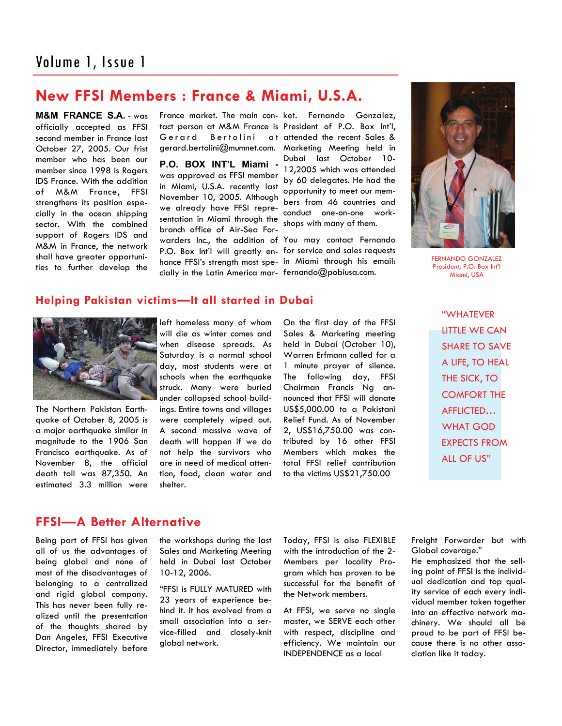# **New FFSI Members : France & Miami, U.S.A.**

**M&M FRANCE S.A.** - was officially accepted as FFSI second member in France last October 27, 2005. Our frist member who has been our member since 1998 is Rogers IDS France. With the addition of M&M France, FFSI strengthens its position especially in the ocean shipping sector. With the combined support of Rogers IDS and M&M in France, the network shall have greater opportunities to further develop the

France market. The main con-ket. Fernando Gonzalez, tact person at M&M France is President of P.O. Box Int'l, Gerard Bertolini

**P.O. BOX INT'L Miami**  was approved as FFSI member in Miami, U.S.A. recently last November 10, 2005. Although we already have FFSI representation in Miami through the branch office of Air-Sea Forwarders Inc., the addition of You may contact Fernando P.O. Box Int'l will greatly en-for service and sales requests hance FFSI's strength most spe-in Miami through his email: cially in the Latin America mar-fernando@pobiusa.com.

gerard.bertolini@mumnet.com. Marketing Meeting held in at attended the recent Sales & Dubai last October 10- 12,2005 which was attended by 60 delegates. He had the opportunity to meet our members from 46 countries and conduct one-on-one workshops with many of them.



FERNANDO GONZALEZ President, P.O. Box Int'l Miami, USA

### **Helping Pakistan victims—It all started in Dubai**



The Northern Pakistan Earthquake of October 8, 2005 is a major earthquake similar in magnitude to the 1906 San Francisco earthquake. As of November 8, the official death toll was 87,350. An estimated 3.3 million were

left homeless many of whom will die as winter comes and when disease spreads. As Saturday is a normal school day, most students were at schools when the earthquake struck. Many were buried under collapsed school buildings. Entire towns and villages were completely wiped out. A second massive wave of death will happen if we do not help the survivors who are in need of medical attention, food, clean water and shelter.

On the first day of the FFSI Sales & Marketing meeting held in Dubai (October 10), Warren Erfmann called for a 1 minute prayer of silence. The following day, FFSI Chairman Francis Ng announced that FFSI will donate US\$5,000.00 to a Pakistani Relief Fund. As of November 2, US\$16,750.00 was contributed by 16 other FFSI Members which makes the total FFSI relief contribution to the victims US\$21,750.00

"WHATEVER LITTLE WE CAN SHARE TO SAVE A LIFE, TO HEAL THE SICK, TO COMFORT THE AFFLICTED… WHAT GOD EXPECTS FROM ALL OF US"

## **FFSI—A Better Alternative**

Being part of FFSI has given all of us the advantages of being global and none of most of the disadvantages of belonging to a centralized and rigid global company. This has never been fully realized until the presentation of the thoughts shared by Dan Angeles, FFSI Executive Director, immediately before the workshops during the last Sales and Marketing Meeting held in Dubai last October 10-12, 2006.

"FFSI is FULLY MATURED with 23 years of experience behind it. It has evolved from a small association into a service-filled and closely-knit global network.

Today, FFSI is also FLEXIBLE with the introduction of the 2- Members per locality Program which has proven to be successful for the benefit of the Network members.

At FFSI, we serve no single master, we SERVE each other with respect, discipline and efficiency. We maintain our INDEPENDENCE as a local

Freight Forwarder but with Global coverage."

He emphasized that the selling point of FFSI is the individual dedication and top quality service of each every individual member taken together into an effective network machinery. We should all be proud to be part of FFSI because there is no other association like it today.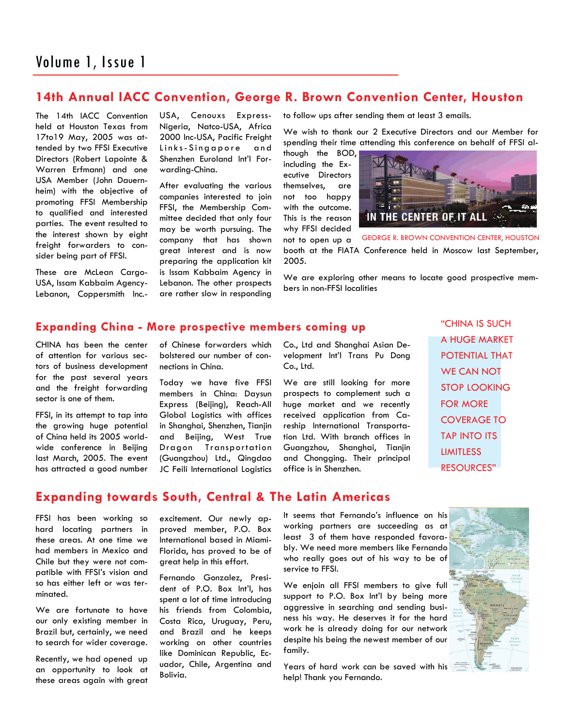# **14th Annual IACC Convention, George R. Brown Convention Center, Houston**

The 14th IACC Convention held at Houston Texas from 17to19 May, 2005 was attended by two FFSI Executive Directors (Robert Lapointe & Warren Erfmann) and one USA Member (John Dauernheim) with the objective of promoting FFSI Membership to qualified and interested parties. The event resulted to the interest shown by eight freight forwarders to consider being part of FFSI.

These are McLean Cargo-USA, Issam Kabbaim Agency-Lebanon, Coppersmith Inc.-

USA, Cenouxs Express-Nigeria, Natco-USA, Africa 2000 Inc-USA, Pacific Freight Links-Singapore and Shenzhen Euroland Int'l Forwarding-China.

After evaluating the various companies interested to join FFSI, the Membership Committee decided that only four may be worth pursuing. The company that has shown great interest and is now preparing the application kit is Issam Kabbaim Agency in Lebanon. The other prospects are rather slow in responding to follow ups after sending them at least 3 emails.

We wish to thank our 2 Executive Directors and our Member for spending their time attending this conference on behalf of FFSI al-

though the BOD, including the Executive Directors themselves, are not too happy with the outcome. This is the reason why FFSI decided not to open up a



booth at the FIATA Conference held in Moscow last September, 2005. GEORGE R. BROWN CONVENTION CENTER, HOUSTON

We are exploring other means to locate good prospective members in non-FFSI localities

### **Expanding China - More prospective members coming up**

CHINA has been the center of attention for various sectors of business development for the past several years and the freight forwarding sector is one of them.

FFSI, in its attempt to tap into the growing huge potential of China held its 2005 worldwide conference in Beijing last March, 2005. The event has attracted a good number of Chinese forwarders which bolstered our number of connections in China.

Today we have five FFSI members in China: Daysun Express (Beijing), Reach-All Global Logistics with offices in Shanghai, Shenzhen, Tianjin and Beijing, West True Dragon Transportation (Guangzhou) Ltd., Qingdao JC Feili International Logistics Co., Ltd and Shanghai Asian Development Int'l Trans Pu Dong Co., Ltd.

We are still looking for more prospects to complement such a huge market and we recently received application from Careship International Transportation Ltd. With branch offices in Guangzhou, Shanghai, Tianjin and Chongging. Their principal office is in Shenzhen.

"CHINA IS SUCH A HUGE MARKET POTENTIAL THAT WE CAN NOT STOP LOOKING FOR MORE COVERAGE TO TAP INTO ITS LIMITLESS RESOURCES"

# **Expanding towards South, Central & The Latin Americas**

FFSI has been working so hard locating partners in these areas. At one time we had members in Mexico and Chile but they were not compatible with FFSI's vision and so has either left or was terminated.

We are fortunate to have our only existing member in Brazil but, certainly, we need to search for wider coverage.

Recently, we had opened up an opportunity to look at these areas again with great excitement. Our newly approved member, P.O. Box International based in Miami-Florida, has proved to be of great help in this effort.

Fernando Gonzalez, President of P.O. Box Int'l, has spent a lot of time introducing his friends from Colombia, Costa Rica, Uruguay, Peru, and Brazil and he keeps working on other countries like Dominican Republic, Ecuador, Chile, Argentina and Bolivia.

It seems that Fernando's influence on his working partners are succeeding as at least 3 of them have responded favorably. We need more members like Fernando who really goes out of his way to be of service to FFSI.

We enjoin all FFSI members to give full support to P.O. Box Int'l by being more aggressive in searching and sending business his way. He deserves it for the hard work he is already doing for our network despite his being the newest member of our family.

Years of hard work can be saved with his help! Thank you Fernando.